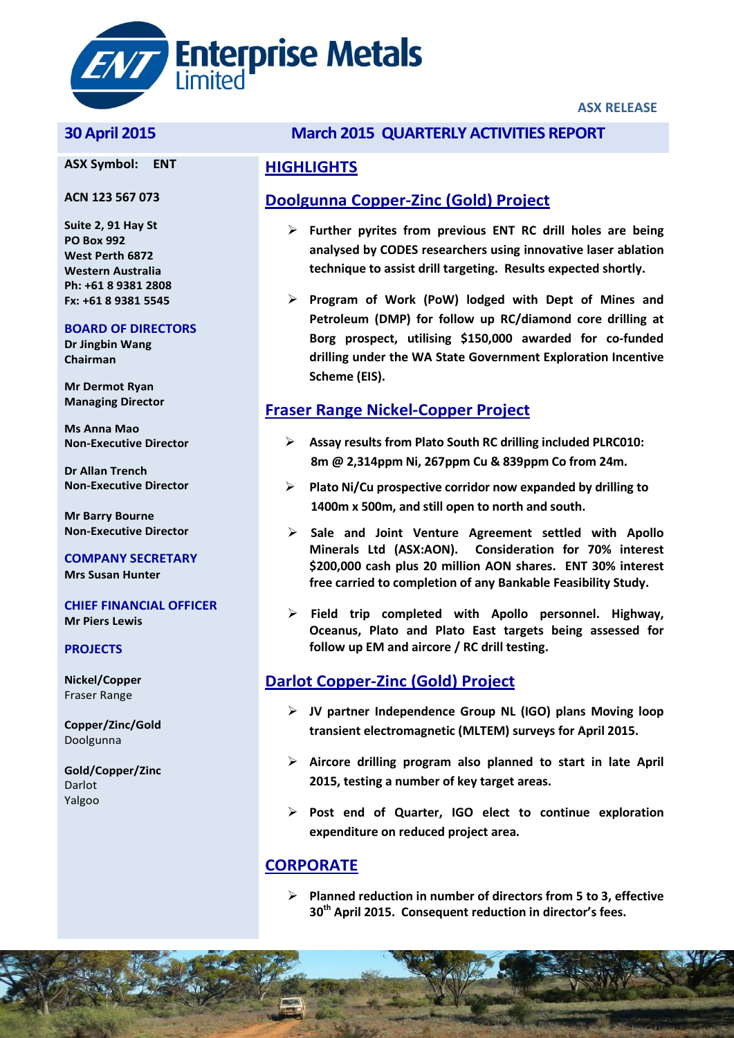

#### **ASX Symbol: ENT**

#### **ACN 123 567 073**

**Suite 2, 91 Hay St PO Box 992 West Perth 6872 Western Australia Ph: +61 8 9381 2808 Fx: +61 8 9381 5545**

#### **BOARD OF DIRECTORS**

**Dr Jingbin Wang Chairman**

**Mr Dermot Ryan Managing Director**

**Ms Anna Mao Non-Executive Director**

**Dr Allan Trench Non-Executive Director**

**Mr Barry Bourne Non-Executive Director**

**COMPANY SECRETARY Mrs Susan Hunter**

#### **CHIEF FINANCIAL OFFICER Mr Piers Lewis**

#### **PROJECTS**

**Nickel/Copper** Fraser Range

**Copper/Zinc/Gold** Doolgunna

**Gold/Copper/Zinc** Darlot Yalgoo

### **30 April 2015 March 2015 QUARTERLY ACTIVITIES REPORT**

#### **HIGHLIGHTS**

## **Doolgunna Copper-Zinc (Gold) Project**

- **Further pyrites from previous ENT RC drill holes are being analysed by CODES researchers using innovative laser ablation technique to assist drill targeting. Results expected shortly.**
- **Program of Work (PoW) lodged with Dept of Mines and Petroleum (DMP) for follow up RC/diamond core drilling at Borg prospect, utilising \$150,000 awarded for co-funded drilling under the WA State Government Exploration Incentive Scheme (EIS).**

## **Fraser Range Nickel-Copper Project**

- **Assay results from Plato South RC drilling included PLRC010: 8m @ 2,314ppm Ni, 267ppm Cu & 839ppm Co from 24m.**
- **Plato Ni/Cu prospective corridor now expanded by drilling to 1400m x 500m, and still open to north and south.**
- **Sale and Joint Venture Agreement settled with Apollo Minerals Ltd (ASX:AON). Consideration for 70% interest \$200,000 cash plus 20 million AON shares. ENT 30% interest free carried to completion of any Bankable Feasibility Study.**
- **Field trip completed with Apollo personnel. Highway, Oceanus, Plato and Plato East targets being assessed for follow up EM and aircore / RC drill testing.**

## **Darlot Copper-Zinc (Gold) Project**

- **JV partner Independence Group NL (IGO) plans Moving loop transient electromagnetic (MLTEM) surveys for April 2015.**
- **Aircore drilling program also planned to start in late April 2015, testing a number of key target areas.**
- **Post end of Quarter, IGO elect to continue exploration expenditure on reduced project area.**

## **CORPORATE**

 **Planned reduction in number of directors from 5 to 3, effective 30th April 2015. Consequent reduction in director's fees.**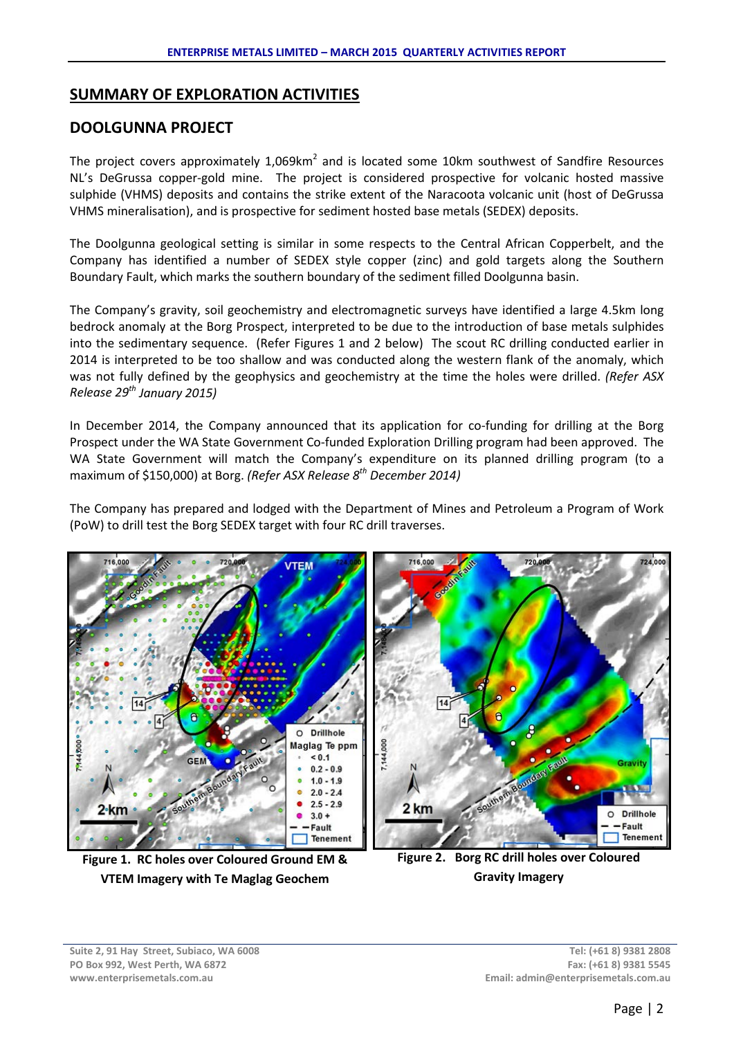## **SUMMARY OF EXPLORATION ACTIVITIES**

## **DOOLGUNNA PROJECT**

The project covers approximately  $1,069$ km<sup>2</sup> and is located some 10km southwest of Sandfire Resources NL's DeGrussa copper-gold mine. The project is considered prospective for volcanic hosted massive sulphide (VHMS) deposits and contains the strike extent of the Naracoota volcanic unit (host of DeGrussa VHMS mineralisation), and is prospective for sediment hosted base metals (SEDEX) deposits.

The Doolgunna geological setting is similar in some respects to the Central African Copperbelt, and the Company has identified a number of SEDEX style copper (zinc) and gold targets along the Southern Boundary Fault, which marks the southern boundary of the sediment filled Doolgunna basin.

The Company's gravity, soil geochemistry and electromagnetic surveys have identified a large 4.5km long bedrock anomaly at the Borg Prospect, interpreted to be due to the introduction of base metals sulphides into the sedimentary sequence. (Refer Figures 1 and 2 below) The scout RC drilling conducted earlier in 2014 is interpreted to be too shallow and was conducted along the western flank of the anomaly, which was not fully defined by the geophysics and geochemistry at the time the holes were drilled. *(Refer ASX Release 29th January 2015)*

In December 2014, the Company announced that its application for co-funding for drilling at the Borg Prospect under the WA State Government Co-funded Exploration Drilling program had been approved. The WA State Government will match the Company's expenditure on its planned drilling program (to a maximum of \$150,000) at Borg. *(Refer ASX Release 8th December 2014)*

The Company has prepared and lodged with the Department of Mines and Petroleum a Program of Work (PoW) to drill test the Borg SEDEX target with four RC drill traverses.



**Figure 1. RC holes over Coloured Ground EM & VTEM Imagery with Te Maglag Geochem**

**Figure 2. Borg RC drill holes over Coloured Gravity Imagery**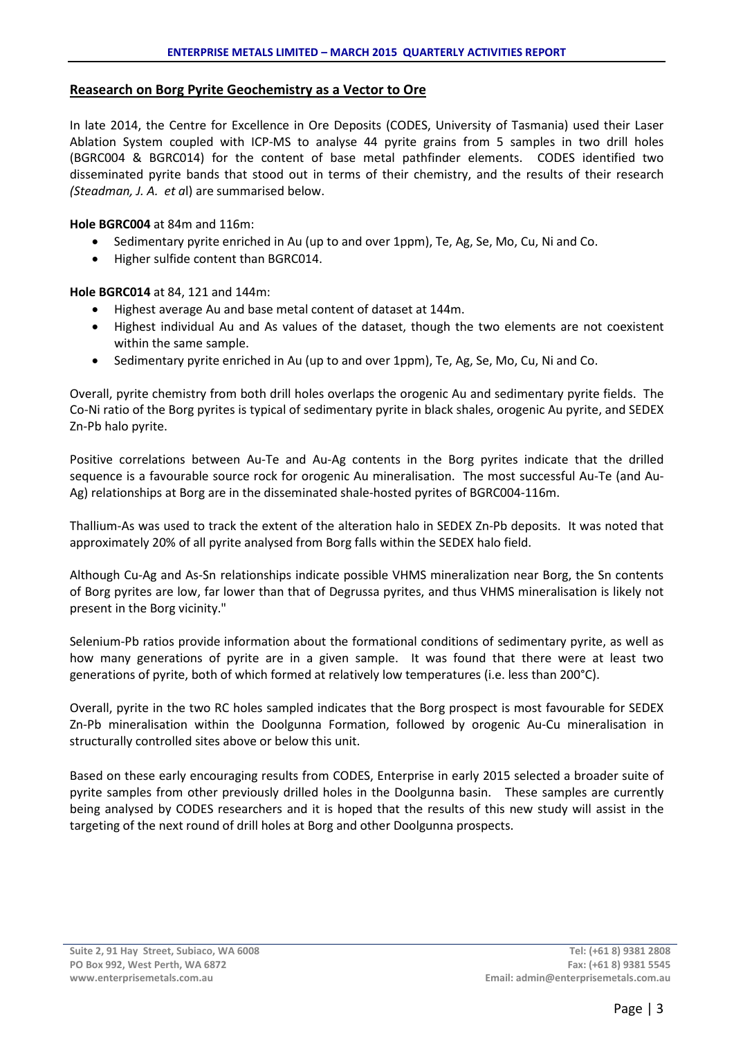#### **Reasearch on Borg Pyrite Geochemistry as a Vector to Ore**

In late 2014, the Centre for Excellence in Ore Deposits (CODES, University of Tasmania) used their Laser Ablation System coupled with ICP-MS to analyse 44 pyrite grains from 5 samples in two drill holes (BGRC004 & BGRC014) for the content of base metal pathfinder elements. CODES identified two disseminated pyrite bands that stood out in terms of their chemistry, and the results of their research *(Steadman, J. A. et a*l) are summarised below.

**Hole BGRC004** at 84m and 116m:

- Sedimentary pyrite enriched in Au (up to and over 1ppm), Te, Ag, Se, Mo, Cu, Ni and Co.
- Higher sulfide content than BGRC014.

**Hole BGRC014** at 84, 121 and 144m:

- Highest average Au and base metal content of dataset at 144m.
- Highest individual Au and As values of the dataset, though the two elements are not coexistent within the same sample.
- Sedimentary pyrite enriched in Au (up to and over 1ppm), Te, Ag, Se, Mo, Cu, Ni and Co.

Overall, pyrite chemistry from both drill holes overlaps the orogenic Au and sedimentary pyrite fields. The Co-Ni ratio of the Borg pyrites is typical of sedimentary pyrite in black shales, orogenic Au pyrite, and SEDEX Zn-Pb halo pyrite.

Positive correlations between Au-Te and Au-Ag contents in the Borg pyrites indicate that the drilled sequence is a favourable source rock for orogenic Au mineralisation. The most successful Au-Te (and Au-Ag) relationships at Borg are in the disseminated shale-hosted pyrites of BGRC004-116m.

Thallium-As was used to track the extent of the alteration halo in SEDEX Zn-Pb deposits. It was noted that approximately 20% of all pyrite analysed from Borg falls within the SEDEX halo field.

Although Cu-Ag and As-Sn relationships indicate possible VHMS mineralization near Borg, the Sn contents of Borg pyrites are low, far lower than that of Degrussa pyrites, and thus VHMS mineralisation is likely not present in the Borg vicinity."

Selenium-Pb ratios provide information about the formational conditions of sedimentary pyrite, as well as how many generations of pyrite are in a given sample. It was found that there were at least two generations of pyrite, both of which formed at relatively low temperatures (i.e. less than 200°C).

Overall, pyrite in the two RC holes sampled indicates that the Borg prospect is most favourable for SEDEX Zn-Pb mineralisation within the Doolgunna Formation, followed by orogenic Au-Cu mineralisation in structurally controlled sites above or below this unit.

Based on these early encouraging results from CODES, Enterprise in early 2015 selected a broader suite of pyrite samples from other previously drilled holes in the Doolgunna basin. These samples are currently being analysed by CODES researchers and it is hoped that the results of this new study will assist in the targeting of the next round of drill holes at Borg and other Doolgunna prospects.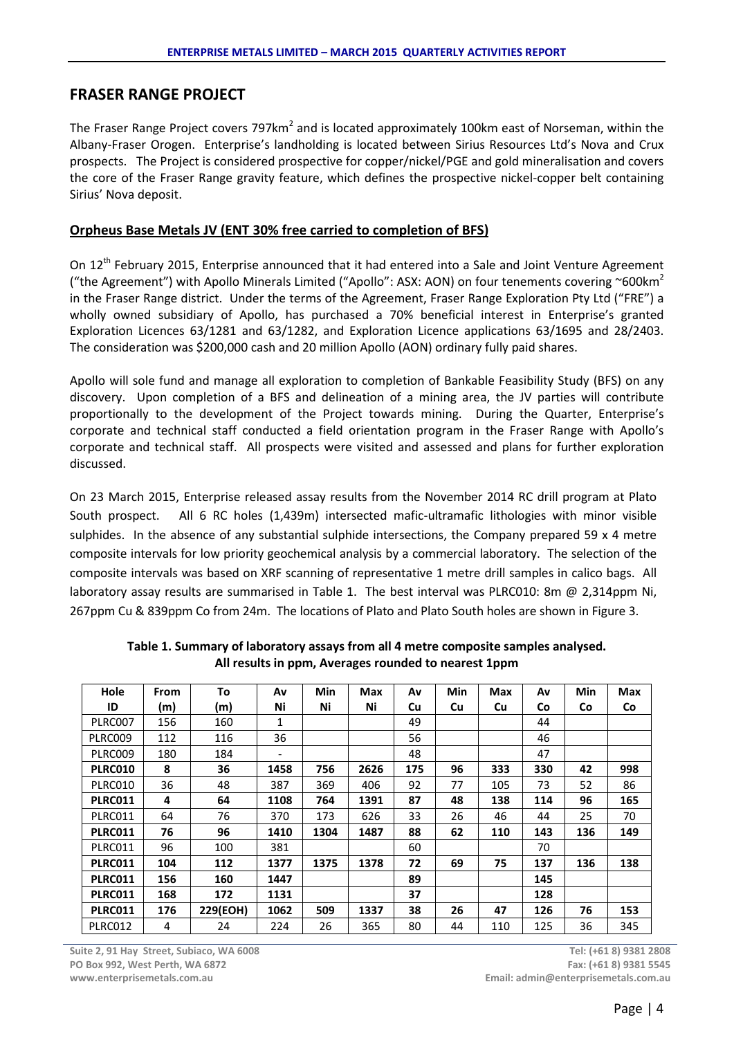## **FRASER RANGE PROJECT**

The Fraser Range Project covers 797km<sup>2</sup> and is located approximately 100km east of Norseman, within the Albany-Fraser Orogen. Enterprise's landholding is located between Sirius Resources Ltd's Nova and Crux prospects. The Project is considered prospective for copper/nickel/PGE and gold mineralisation and covers the core of the Fraser Range gravity feature, which defines the prospective nickel-copper belt containing Sirius' Nova deposit.

#### **Orpheus Base Metals JV (ENT 30% free carried to completion of BFS)**

On 12th February 2015, Enterprise announced that it had entered into a Sale and Joint Venture Agreement ("the Agreement") with Apollo Minerals Limited ("Apollo": ASX: AON) on four tenements covering ~600 km<sup>2</sup> in the Fraser Range district. Under the terms of the Agreement, Fraser Range Exploration Pty Ltd ("FRE") a wholly owned subsidiary of Apollo, has purchased a 70% beneficial interest in Enterprise's granted Exploration Licences 63/1281 and 63/1282, and Exploration Licence applications 63/1695 and 28/2403. The consideration was \$200,000 cash and 20 million Apollo (AON) ordinary fully paid shares.

Apollo will sole fund and manage all exploration to completion of Bankable Feasibility Study (BFS) on any discovery. Upon completion of a BFS and delineation of a mining area, the JV parties will contribute proportionally to the development of the Project towards mining. During the Quarter, Enterprise's corporate and technical staff conducted a field orientation program in the Fraser Range with Apollo's corporate and technical staff. All prospects were visited and assessed and plans for further exploration discussed.

On 23 March 2015, Enterprise released assay results from the November 2014 RC drill program at Plato South prospect. All 6 RC holes (1,439m) intersected mafic-ultramafic lithologies with minor visible sulphides. In the absence of any substantial sulphide intersections, the Company prepared 59 x 4 metre composite intervals for low priority geochemical analysis by a commercial laboratory. The selection of the composite intervals was based on XRF scanning of representative 1 metre drill samples in calico bags. All laboratory assay results are summarised in Table 1. The best interval was PLRC010: 8m @ 2,314ppm Ni, 267ppm Cu & 839ppm Co from 24m. The locations of Plato and Plato South holes are shown in Figure 3.

| Hole           | From | To       | Av                       | Min  | <b>Max</b> | Av  | Min | <b>Max</b> | A۷  | Min | <b>Max</b> |
|----------------|------|----------|--------------------------|------|------------|-----|-----|------------|-----|-----|------------|
| ID             | (m)  | (m)      | Ni                       | Ni   | Ni         | Cu  | Cu  | Cu         | Co  | Co  | Co         |
| PLRC007        | 156  | 160      | 1                        |      |            | 49  |     |            | 44  |     |            |
| PLRC009        | 112  | 116      | 36                       |      |            | 56  |     |            | 46  |     |            |
| PLRC009        | 180  | 184      | $\overline{\phantom{a}}$ |      |            | 48  |     |            | 47  |     |            |
| PLRC010        | 8    | 36       | 1458                     | 756  | 2626       | 175 | 96  | 333        | 330 | 42  | 998        |
| PLRC010        | 36   | 48       | 387                      | 369  | 406        | 92  | 77  | 105        | 73  | 52  | 86         |
| <b>PLRC011</b> | 4    | 64       | 1108                     | 764  | 1391       | 87  | 48  | 138        | 114 | 96  | 165        |
| PLRC011        | 64   | 76       | 370                      | 173  | 626        | 33  | 26  | 46         | 44  | 25  | 70         |
| <b>PLRC011</b> | 76   | 96       | 1410                     | 1304 | 1487       | 88  | 62  | 110        | 143 | 136 | 149        |
| PLRC011        | 96   | 100      | 381                      |      |            | 60  |     |            | 70  |     |            |
| <b>PLRC011</b> | 104  | 112      | 1377                     | 1375 | 1378       | 72  | 69  | 75         | 137 | 136 | 138        |
| <b>PLRC011</b> | 156  | 160      | 1447                     |      |            | 89  |     |            | 145 |     |            |
| <b>PLRC011</b> | 168  | 172      | 1131                     |      |            | 37  |     |            | 128 |     |            |
| <b>PLRC011</b> | 176  | 229(EOH) | 1062                     | 509  | 1337       | 38  | 26  | 47         | 126 | 76  | 153        |
| PLRC012        | 4    | 24       | 224                      | 26   | 365        | 80  | 44  | 110        | 125 | 36  | 345        |

**Table 1. Summary of laboratory assays from all 4 metre composite samples analysed. All results in ppm, Averages rounded to nearest 1ppm**

**Tel: (+61 8) 9381 2808 Fax: (+61 8) 9381 5545 Email: admin@enterprisemetals.com.au**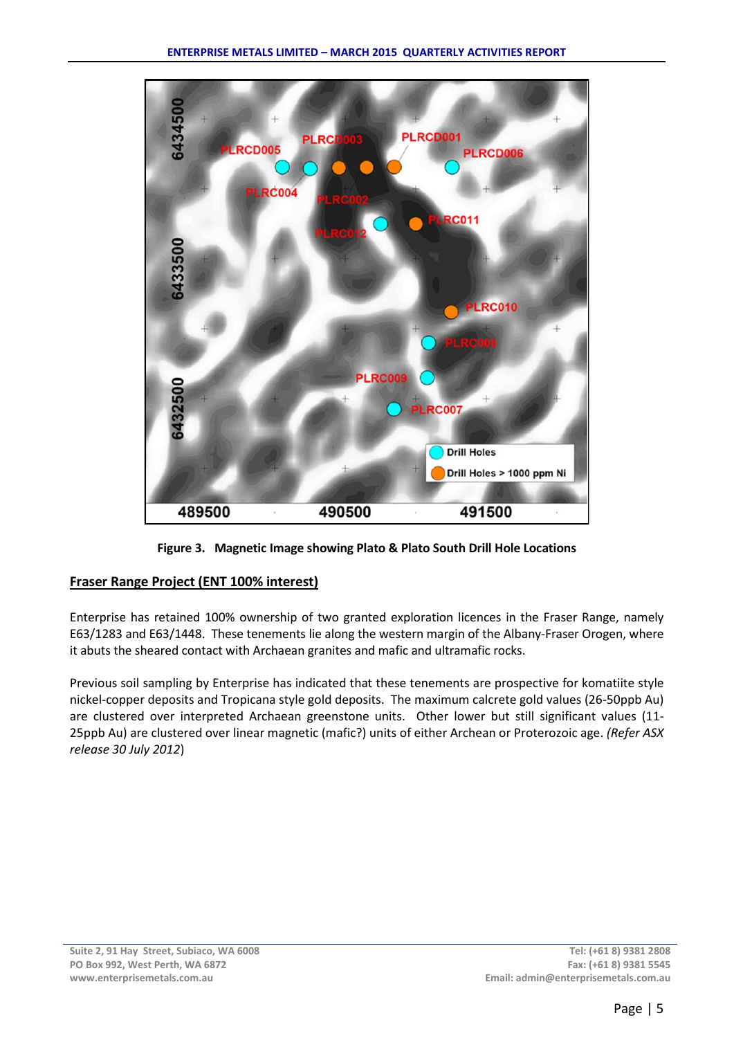

**Figure 3. Magnetic Image showing Plato & Plato South Drill Hole Locations**

## **Fraser Range Project (ENT 100% interest)**

Enterprise has retained 100% ownership of two granted exploration licences in the Fraser Range, namely E63/1283 and E63/1448. These tenements lie along the western margin of the Albany-Fraser Orogen, where it abuts the sheared contact with Archaean granites and mafic and ultramafic rocks.

Previous soil sampling by Enterprise has indicated that these tenements are prospective for komatiite style nickel-copper deposits and Tropicana style gold deposits. The maximum calcrete gold values (26-50ppb Au) are clustered over interpreted Archaean greenstone units. Other lower but still significant values (11- 25ppb Au) are clustered over linear magnetic (mafic?) units of either Archean or Proterozoic age. *(Refer ASX release 30 July 2012*)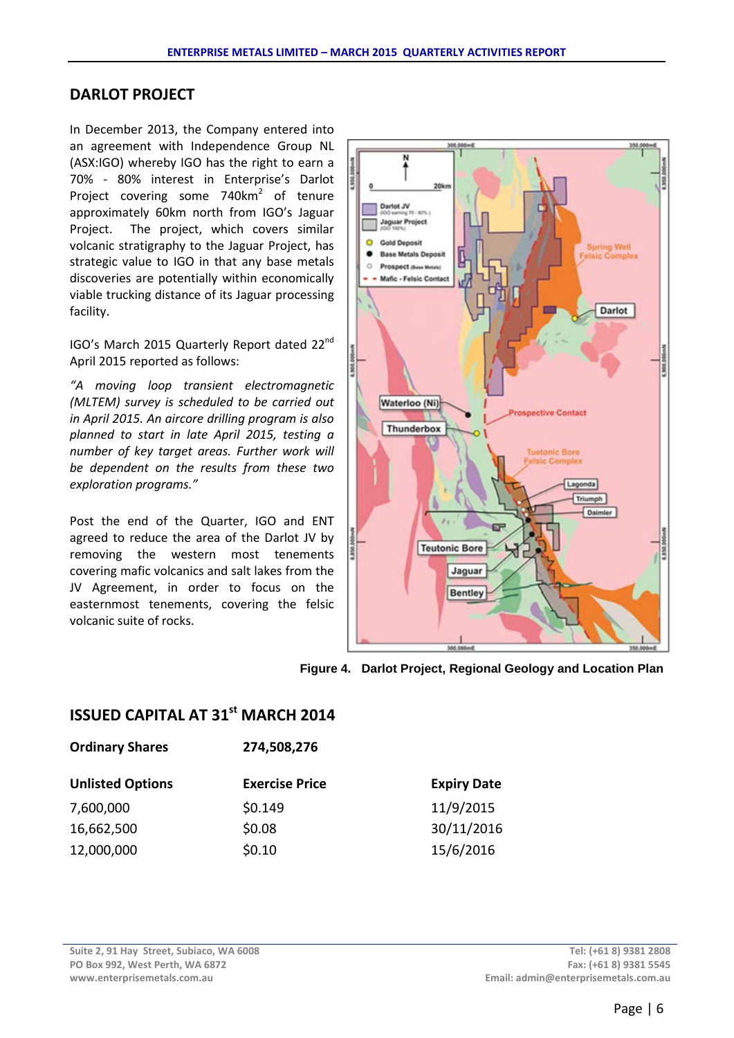## **DARLOT PROJECT**

In December 2013, the Company entered into an agreement with Independence Group NL (ASX:IGO) whereby IGO has the right to earn a 70% - 80% interest in Enterprise's Darlot Project covering some 740km<sup>2</sup> of tenure approximately 60km north from IGO's Jaguar Project. The project, which covers similar volcanic stratigraphy to the Jaguar Project, has strategic value to IGO in that any base metals discoveries are potentially within economically viable trucking distance of its Jaguar processing facility.

IGO's March 2015 Quarterly Report dated 22nd April 2015 reported as follows:

*"A moving loop transient electromagnetic (MLTEM) survey is scheduled to be carried out in April 2015. An aircore drilling program is also planned to start in late April 2015, testing a number of key target areas. Further work will be dependent on the results from these two exploration programs."*

Post the end of the Quarter, IGO and ENT agreed to reduce the area of the Darlot JV by removing the western most tenements covering mafic volcanics and salt lakes from the JV Agreement, in order to focus on the easternmost tenements, covering the felsic volcanic suite of rocks.



**Figure 4. Darlot Project, Regional Geology and Location Plan**

# **ISSUED CAPITAL AT 31st MARCH 2014**

| <b>Ordinary Shares</b>  | 274,508,276           |                    |  |  |  |
|-------------------------|-----------------------|--------------------|--|--|--|
| <b>Unlisted Options</b> | <b>Exercise Price</b> | <b>Expiry Date</b> |  |  |  |
| 7,600,000               | \$0.149               | 11/9/2015          |  |  |  |
| 16,662,500              | \$0.08                | 30/11/2016         |  |  |  |
| 12,000,000              | \$0.10                | 15/6/2016          |  |  |  |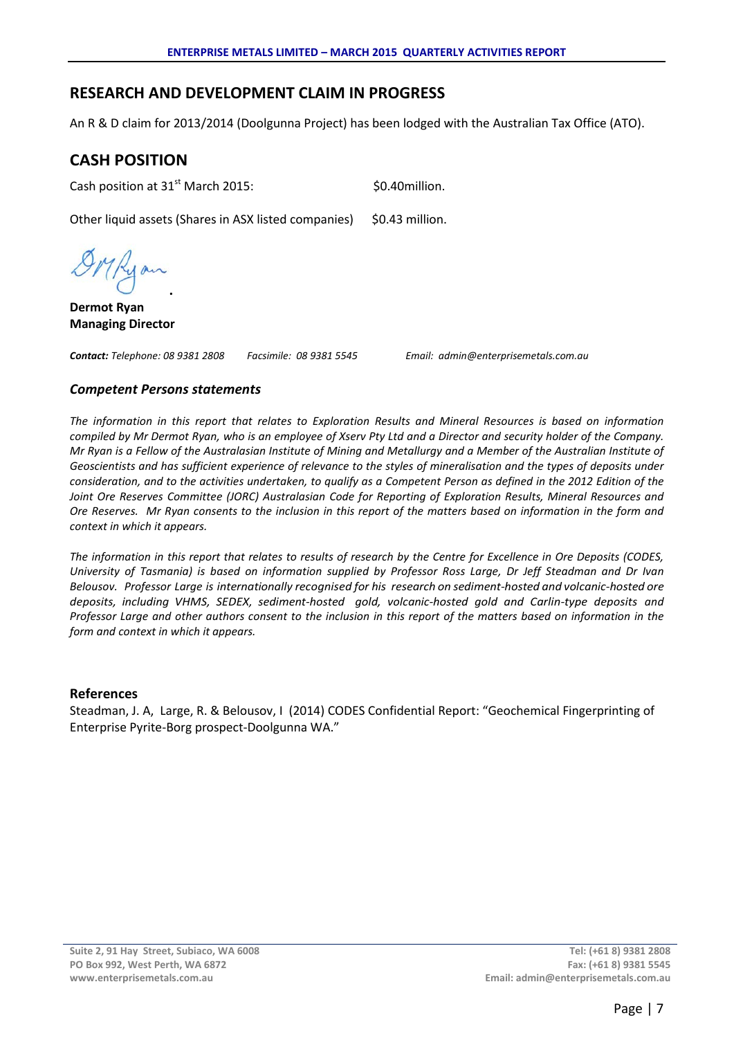# **RESEARCH AND DEVELOPMENT CLAIM IN PROGRESS**

An R & D claim for 2013/2014 (Doolgunna Project) has been lodged with the Australian Tax Office (ATO).

# **CASH POSITION**

Cash position at  $31<sup>st</sup>$  March 2015:  $$0.40$ million.

Other liquid assets (Shares in ASX listed companies) \$0.43 million.

ykyan **.**

**Dermot Ryan Managing Director**

*Contact: Telephone: 08 9381 2808 Facsimile: 08 9381 5545 Email: admin@enterprisemetals.com.au*

#### *Competent Persons statements*

*The information in this report that relates to Exploration Results and Mineral Resources is based on information compiled by Mr Dermot Ryan, who is an employee of Xserv Pty Ltd and a Director and security holder of the Company. Mr Ryan is a Fellow of the Australasian Institute of Mining and Metallurgy and a Member of the Australian Institute of Geoscientists and has sufficient experience of relevance to the styles of mineralisation and the types of deposits under consideration, and to the activities undertaken, to qualify as a Competent Person as defined in the 2012 Edition of the Joint Ore Reserves Committee (JORC) Australasian Code for Reporting of Exploration Results, Mineral Resources and Ore Reserves. Mr Ryan consents to the inclusion in this report of the matters based on information in the form and context in which it appears.*

*The information in this report that relates to results of research by the Centre for Excellence in Ore Deposits (CODES, University of Tasmania) is based on information supplied by Professor Ross Large, Dr Jeff Steadman and Dr Ivan Belousov. Professor Large is internationally recognised for his research on sediment-hosted and volcanic-hosted ore deposits, including VHMS, SEDEX, sediment-hosted gold, volcanic-hosted gold and Carlin-type deposits and Professor Large and other authors consent to the inclusion in this report of the matters based on information in the form and context in which it appears.*

#### **References**

Steadman, J. A, Large, R. & Belousov, I (2014) CODES Confidential Report: "Geochemical Fingerprinting of Enterprise Pyrite-Borg prospect-Doolgunna WA."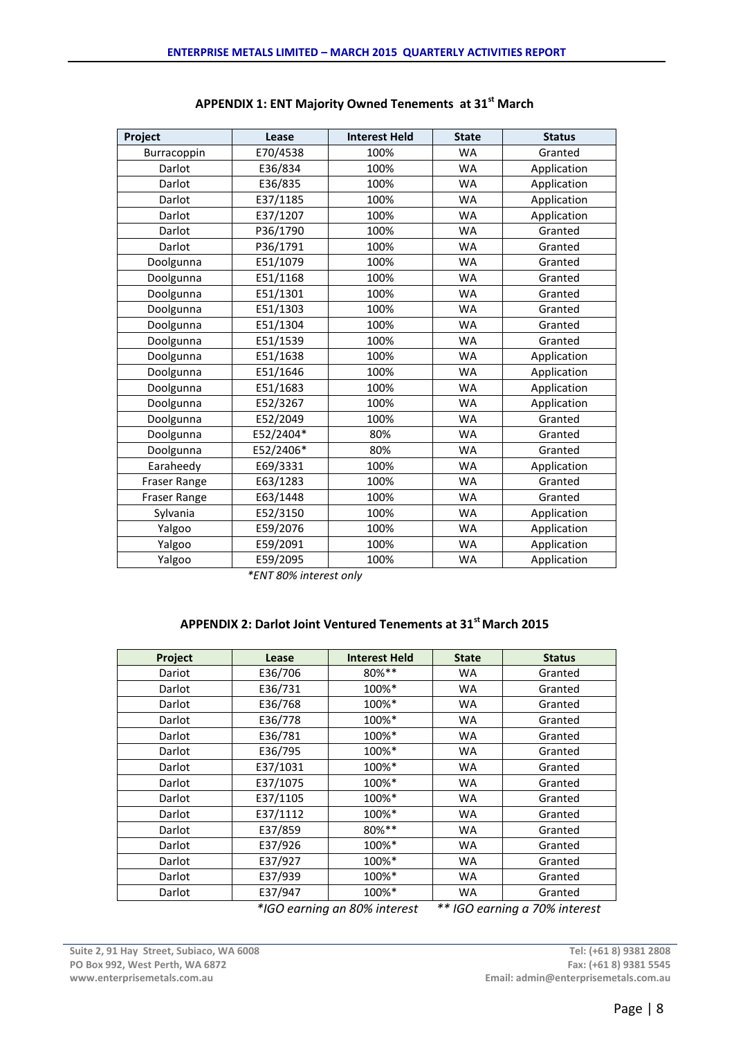| Project             | Lease     | <b>Interest Held</b> | <b>State</b> | <b>Status</b> |
|---------------------|-----------|----------------------|--------------|---------------|
| Burracoppin         | E70/4538  | 100%                 | <b>WA</b>    | Granted       |
| Darlot              | E36/834   | 100%                 | <b>WA</b>    | Application   |
| Darlot              | E36/835   | 100%                 | <b>WA</b>    | Application   |
| Darlot              | E37/1185  | 100%                 | WA           | Application   |
| Darlot              | E37/1207  | 100%                 | <b>WA</b>    | Application   |
| Darlot              | P36/1790  | 100%                 | <b>WA</b>    | Granted       |
| Darlot              | P36/1791  | 100%                 | <b>WA</b>    | Granted       |
| Doolgunna           | E51/1079  | 100%                 | <b>WA</b>    | Granted       |
| Doolgunna           | E51/1168  | 100%                 | WA           | Granted       |
| Doolgunna           | E51/1301  | 100%                 | <b>WA</b>    | Granted       |
| Doolgunna           | E51/1303  | 100%                 | WA           | Granted       |
| Doolgunna           | E51/1304  | 100%                 | <b>WA</b>    | Granted       |
| Doolgunna           | E51/1539  | 100%                 | WA           | Granted       |
| Doolgunna           | E51/1638  | 100%                 | <b>WA</b>    | Application   |
| Doolgunna           | E51/1646  | 100%                 | <b>WA</b>    | Application   |
| Doolgunna           | E51/1683  | 100%                 | <b>WA</b>    | Application   |
| Doolgunna           | E52/3267  | 100%                 | <b>WA</b>    | Application   |
| Doolgunna           | E52/2049  | 100%                 | WA           | Granted       |
| Doolgunna           | E52/2404* | 80%                  | <b>WA</b>    | Granted       |
| Doolgunna           | E52/2406* | 80%                  | WA           | Granted       |
| Earaheedy           | E69/3331  | 100%                 | <b>WA</b>    | Application   |
| Fraser Range        | E63/1283  | 100%                 | <b>WA</b>    | Granted       |
| <b>Fraser Range</b> | E63/1448  | 100%                 | <b>WA</b>    | Granted       |
| Sylvania            | E52/3150  | 100%                 | <b>WA</b>    | Application   |
| Yalgoo              | E59/2076  | 100%                 | WA           | Application   |
| Yalgoo              | E59/2091  | 100%                 | <b>WA</b>    | Application   |
| Yalgoo              | E59/2095  | 100%                 | <b>WA</b>    | Application   |

## **APPENDIX 1: ENT Majority Owned Tenements at 31st March**

*\*ENT 80% interest only*

#### **APPENDIX 2: Darlot Joint Ventured Tenements at 31st March 2015**

| Project | Lease    | <b>Interest Held</b>                    | <b>State</b> | <b>Status</b>                                |
|---------|----------|-----------------------------------------|--------------|----------------------------------------------|
| Dariot  | E36/706  | 80%**                                   | <b>WA</b>    | Granted                                      |
| Darlot  | E36/731  | 100%*                                   | WA           | Granted                                      |
| Darlot  | E36/768  | 100%*                                   | <b>WA</b>    | Granted                                      |
| Darlot  | E36/778  | 100%*                                   | <b>WA</b>    | Granted                                      |
| Darlot  | E36/781  | 100%*                                   | <b>WA</b>    | Granted                                      |
| Darlot  | E36/795  | 100%*                                   | <b>WA</b>    | Granted                                      |
| Darlot  | E37/1031 | 100%*                                   | <b>WA</b>    | Granted                                      |
| Darlot  | E37/1075 | 100%*                                   | <b>WA</b>    | Granted                                      |
| Darlot  | E37/1105 | 100%*                                   | <b>WA</b>    | Granted                                      |
| Darlot  | E37/1112 | 100%*                                   | <b>WA</b>    | Granted                                      |
| Darlot  | E37/859  | 80%**                                   | <b>WA</b>    | Granted                                      |
| Darlot  | E37/926  | 100%*                                   | <b>WA</b>    | Granted                                      |
| Darlot  | E37/927  | 100%*                                   | <b>WA</b>    | Granted                                      |
| Darlot  | E37/939  | 100%*                                   | <b>WA</b>    | Granted                                      |
| Darlot  | E37/947  | 100%*<br>$*_{1}$ CO canajna an 000/ $;$ | <b>WA</b>    | Granted<br>$**$ ICO convince a 700/ interest |

 *\*IGO earning an 80% interest \*\* IGO earning a 70% interest*